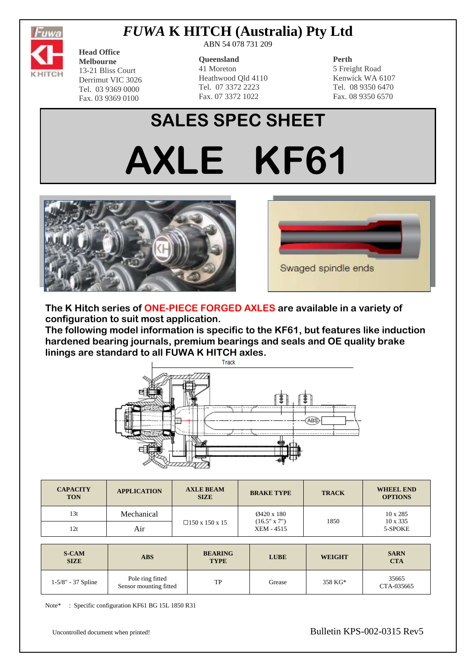

# *FUWA* **K HITCH (Australia) Pty Ltd**

**Head Office Melbourne** 13-21 Bliss Court Derrimut VIC 3026 Tel. 03 9369 0000 Fax. 03 9369 0100

ABN 54 078 731 209

#### **Queensland**

41 Moreton Heathwood Qld 4110 Tel. 07 3372 2223 Fax. 07 3372 1022

### **Perth**

5 Freight Road Kenwick WA 6107 Tel. 08 9350 6470 Fax. 08 9350 6570

# **SALES SPEC SHEET AXLE KF61**





**The K Hitch series of ONE-PIECE FORGED AXLES are available in a variety of configuration to suit most application.**

**The following model information is specific to the KF61, but features like induction hardened bearing journals, premium bearings and seals and OE quality brake linings are standard to all FUWA K HITCH axles.**



| <b>CAPACITY</b><br><b>TON</b> | <b>APPLICATION</b> | <b>AXLE BEAM</b><br><b>SIZE</b> | <b>BRAKE TYPE</b>                               | <b>TRACK</b> | <b>WHEEL END</b><br><b>OPTIONS</b>            |
|-------------------------------|--------------------|---------------------------------|-------------------------------------------------|--------------|-----------------------------------------------|
| 13t                           | Mechanical         |                                 | Ø420 x 180<br>$(16.5" \times 7")$<br>XEM - 4515 | 1850         | $10 \times 285$<br>$10 \times 335$<br>5-SPOKE |
| 12t                           | Air                | □150 x 150 x 15                 |                                                 |              |                                               |

| <b>S-CAM</b><br><b>SIZE</b> | <b>ABS</b>                                 | <b>BEARING</b><br><b>TYPE</b> | <b>LUBE</b> | <b>WEIGHT</b> | <b>SARN</b><br><b>CTA</b> |
|-----------------------------|--------------------------------------------|-------------------------------|-------------|---------------|---------------------------|
| $1-5/8" - 37$ Spline        | Pole ring fitted<br>Sensor mounting fitted | TP                            | Grease      | 358 KG*       | 35665<br>CTA-035665       |

Note\* : Specific configuration KF61 BG 15L 1850 R31

Uncontrolled document when printed! Bulletin KPS-002-0315 Rev5